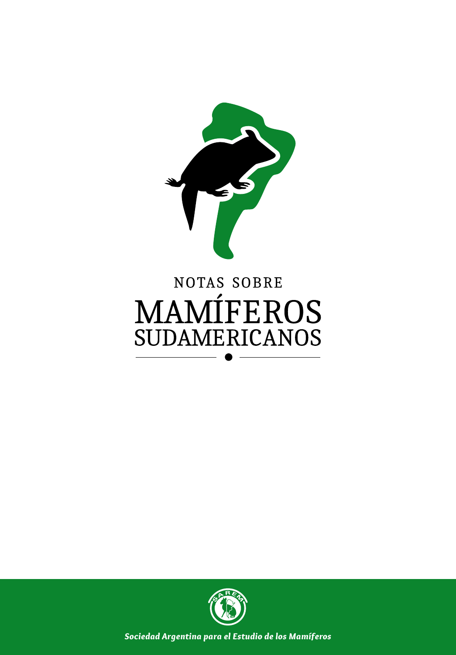

# **NOTAS SOBRE MAMÍFEROS SUDAMERICANOS**



*Sociedad Argentina para el Estudio de los Mamíferos*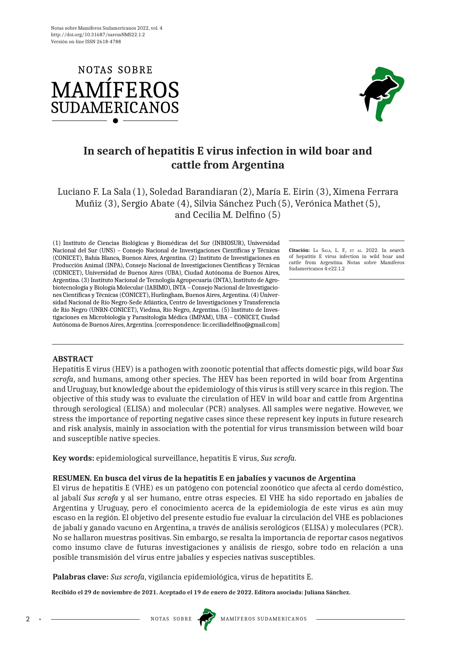



# **In search of hepatitis E virus infection in wild boar and cattle from Argentina**

### Luciano F. La Sala (1), Soledad Barandiaran(2), María E. Eirin (3), Ximena Ferrara Muñiz (3), Sergio Abate (4), Silvia Sánchez Puch(5), Verónica Mathet(5), and Cecilia M. Delfino (5)

(1) Instituto de Ciencias Biológicas y Biomédicas del Sur (INBIOSUR), Universidad Nacional del Sur (UNS) – Consejo Nacional de Investigaciones Científicas y Técnicas (CONICET), Bahía Blanca, Buenos Aires, Argentina. (2) Instituto de Investigaciones en Producción Animal (INPA), Consejo Nacional de Investigaciones Científicas y Técnicas (CONICET), Universidad de Buenos Aires (UBA), Ciudad Autónoma de Buenos Aires, Argentina. (3) Instituto Nacional de Tecnología Agropecuaria (INTA), Instituto de Agrobiotecnología y Biología Molecular (IABIMO), INTA – Consejo Nacional de Investigaciones Científicas y Técnicas (CONICET), Hurlingham, Buenos Aires, Argentina. (4) Universidad Nacional de Río Negro-Sede Atlántica, Centro de Investigaciones y Transferencia de Río Negro (UNRN-CONICET), Viedma, Río Negro, Argentina. (5) Instituto de Investigaciones en Microbiología y Parasitología Médica (IMPAM), UBA – CONICET, Ciudad Autónoma de Buenos Aires, Argentina. [correspondence: lic.ceciliadelfino@gmail.com]

**Citación:** La Sala, L. F., et al. 2022. In search of hepatitis E virus infection in wild boar and cattle from Argentina. Notas sobre Mamíferos Sudamericanos 4:e22.1.2

#### **ABSTRACT**

Hepatitis E virus (HEV) is a pathogen with zoonotic potential that affects domestic pigs, wild boar *Sus scrofa*, and humans, among other species. The HEV has been reported in wild boar from Argentina and Uruguay, but knowledge about the epidemiology of this virus is still very scarce in this region. The objective of this study was to evaluate the circulation of HEV in wild boar and cattle from Argentina through serological (ELISA) and molecular (PCR) analyses. All samples were negative. However, we stress the importance of reporting negative cases since these represent key inputs in future research and risk analysis, mainly in association with the potential for virus transmission between wild boar and susceptible native species.

**Key words:** epidemiological surveillance, hepatitis E virus, *Sus scrofa*.

#### **RESUMEN. En busca del virus de la hepatitis E en jabalíes y vacunos de Argentina**

El virus de hepatitis E (VHE) es un patógeno con potencial zoonótico que afecta al cerdo doméstico, al jabalí *Sus scrofa* y al ser humano, entre otras especies. El VHE ha sido reportado en jabalíes de Argentina y Uruguay, pero el conocimiento acerca de la epidemiología de este virus es aún muy escaso en la región. El objetivo del presente estudio fue evaluar la circulación del VHE es poblaciones de jabalí y ganado vacuno en Argentina, a través de análisis serológicos (ELISA) y moleculares (PCR). No se hallaron muestras positivas. Sin embargo, se resalta la importancia de reportar casos negativos como insumo clave de futuras investigaciones y análisis de riesgo, sobre todo en relación a una posible transmisión del virus entre jabalíes y especies nativas susceptibles.

**Palabras clave:** *Sus scrofa*, vigilancia epidemiológica, virus de hepatitits E.

**Recibido el 29 de noviembre de 2021. Aceptado el 19 de enero de 2022. Editora asociada: Juliana Sánchez.**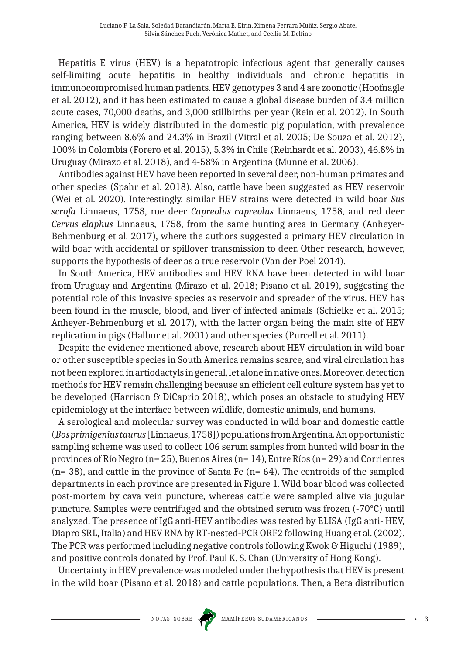Hepatitis E virus (HEV) is a hepatotropic infectious agent that generally causes self-limiting acute hepatitis in healthy individuals and chronic hepatitis in immunocompromised human patients. HEV genotypes 3 and 4 are zoonotic (Hoofnagle et al. 2012), and it has been estimated to cause a global disease burden of 3.4 million acute cases, 70,000 deaths, and 3,000 stillbirths per year (Rein et al. 2012). In South America, HEV is widely distributed in the domestic pig population, with prevalence ranging between 8.6% and 24.3% in Brazil (Vitral et al. 2005; De Souza et al. 2012), 100% in Colombia (Forero et al. 2015), 5.3% in Chile (Reinhardt et al. 2003), 46.8% in Uruguay (Mirazo et al. 2018), and 4-58% in Argentina (Munné et al. 2006).

Antibodies against HEV have been reported in several deer, non-human primates and other species (Spahr et al. 2018). Also, cattle have been suggested as HEV reservoir (Wei et al. 2020). Interestingly, similar HEV strains were detected in wild boar *Sus scrofa* Linnaeus, 1758, roe deer *Capreolus capreolus* Linnaeus, 1758, and red deer *Cervus elaphus* Linnaeus, 1758, from the same hunting area in Germany (Anheyer-Behmenburg et al. 2017), where the authors suggested a primary HEV circulation in wild boar with accidental or spillover transmission to deer. Other research, however, supports the hypothesis of deer as a true reservoir (Van der Poel 2014).

In South America, HEV antibodies and HEV RNA have been detected in wild boar from Uruguay and Argentina (Mirazo et al. 2018; Pisano et al. 2019), suggesting the potential role of this invasive species as reservoir and spreader of the virus. HEV has been found in the muscle, blood, and liver of infected animals (Schielke et al. 2015; Anheyer-Behmenburg et al. 2017), with the latter organ being the main site of HEV replication in pigs (Halbur et al. 2001) and other species (Purcell et al. 2011).

Despite the evidence mentioned above, research about HEV circulation in wild boar or other susceptible species in South America remains scarce, and viral circulation has not been explored in artiodactyls in general, let alone in native ones. Moreover, detection methods for HEV remain challenging because an efficient cell culture system has yet to be developed (Harrison & DiCaprio 2018), which poses an obstacle to studying HEV epidemiology at the interface between wildlife, domestic animals, and humans.

A serological and molecular survey was conducted in wild boar and domestic cattle (*Bos primigenius taurus* [Linnaeus, 1758]) populations from Argentina. An opportunistic sampling scheme was used to collect 106 serum samples from hunted wild boar in the provinces of Río Negro (n= 25), Buenos Aires (n= 14), Entre Ríos (n= 29) and Corrientes  $(n= 38)$ , and cattle in the province of Santa Fe  $(n= 64)$ . The centroids of the sampled departments in each province are presented in Figure 1. Wild boar blood was collected post-mortem by cava vein puncture, whereas cattle were sampled alive via jugular puncture. Samples were centrifuged and the obtained serum was frozen (-70°C) until analyzed. The presence of IgG anti-HEV antibodies was tested by ELISA (IgG anti- HEV, Diapro SRL, Italia) and HEV RNA by RT-nested-PCR ORF2 following Huang et al. (2002). The PCR was performed including negative controls following Kwok & Higuchi (1989), and positive controls donated by Prof. Paul K. S. Chan (University of Hong Kong).

Uncertainty in HEV prevalence was modeled under the hypothesis that HEV is present in the wild boar (Pisano et al. 2018) and cattle populations. Then, a Beta distribution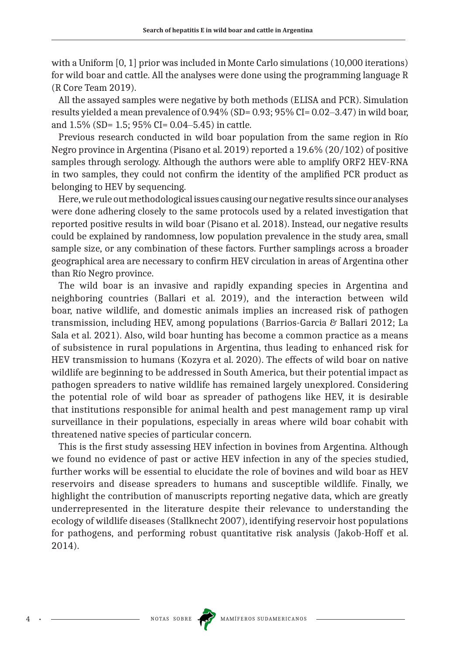with a Uniform [0, 1] prior was included in Monte Carlo simulations (10,000 iterations) for wild boar and cattle. All the analyses were done using the programming language R (R Core Team 2019).

All the assayed samples were negative by both methods (ELISA and PCR). Simulation results yielded a mean prevalence of  $0.94\%$  (SD= 0.93; 95% CI= 0.02–3.47) in wild boar, and 1.5% (SD= 1.5; 95% CI= 0.04‒5.45) in cattle.

Previous research conducted in wild boar population from the same region in Río Negro province in Argentina (Pisano et al. 2019) reported a 19.6% (20/102) of positive samples through serology. Although the authors were able to amplify ORF2 HEV-RNA in two samples, they could not confirm the identity of the amplified PCR product as belonging to HEV by sequencing.

Here, we rule out methodological issues causing our negative results since our analyses were done adhering closely to the same protocols used by a related investigation that reported positive results in wild boar (Pisano et al. 2018). Instead, our negative results could be explained by randomness, low population prevalence in the study area, small sample size, or any combination of these factors. Further samplings across a broader geographical area are necessary to confirm HEV circulation in areas of Argentina other than Río Negro province.

The wild boar is an invasive and rapidly expanding species in Argentina and neighboring countries (Ballari et al. 2019), and the interaction between wild boar, native wildlife, and domestic animals implies an increased risk of pathogen transmission, including HEV, among populations (Barrios-Garcia & Ballari 2012; La Sala et al. 2021). Also, wild boar hunting has become a common practice as a means of subsistence in rural populations in Argentina, thus leading to enhanced risk for HEV transmission to humans (Kozyra et al. 2020). The effects of wild boar on native wildlife are beginning to be addressed in South America, but their potential impact as pathogen spreaders to native wildlife has remained largely unexplored. Considering the potential role of wild boar as spreader of pathogens like HEV, it is desirable that institutions responsible for animal health and pest management ramp up viral surveillance in their populations, especially in areas where wild boar cohabit with threatened native species of particular concern.

This is the first study assessing HEV infection in bovines from Argentina. Although we found no evidence of past or active HEV infection in any of the species studied, further works will be essential to elucidate the role of bovines and wild boar as HEV reservoirs and disease spreaders to humans and susceptible wildlife. Finally, we highlight the contribution of manuscripts reporting negative data, which are greatly underrepresented in the literature despite their relevance to understanding the ecology of wildlife diseases (Stallknecht 2007), identifying reservoir host populations for pathogens, and performing robust quantitative risk analysis (Jakob-Hoff et al. 2014).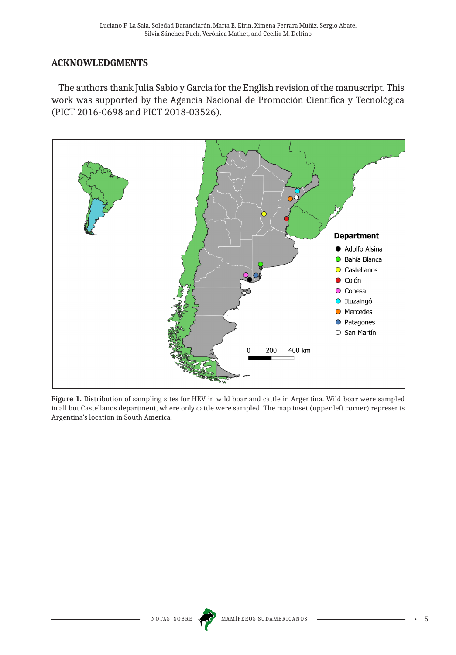## **ACKNOWLEDGMENTS**

The authors thank Julia Sabio y Garcia for the English revision of the manuscript. This work was supported by the Agencia Nacional de Promoción Científica y Tecnológica (PICT 2016-0698 and PICT 2018-03526).



**Figure 1.** Distribution of sampling sites for HEV in wild boar and cattle in Argentina. Wild boar were sampled in all but Castellanos department, where only cattle were sampled. The map inset (upper left corner) represents Argentina's location in South America.

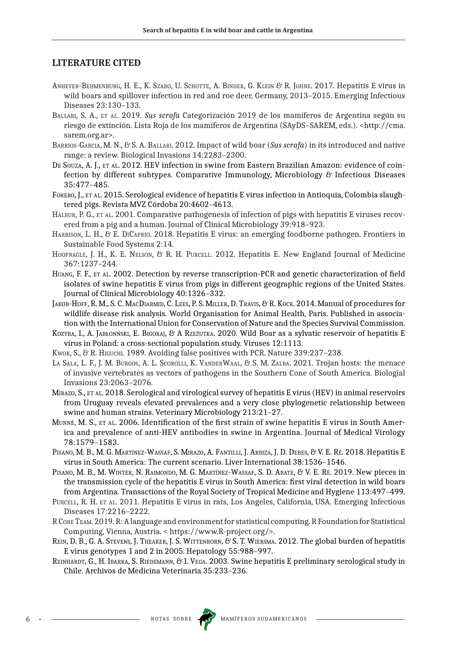#### **LITERATURE CITED**

- Anheyer-Behmenburg, H. E., K. Szabo, U. Schotte, A. Binder, G. Klein & R. Johne. 2017. Hepatitis E virus in wild boars and spillover infection in red and roe deer, Germany, 2013–2015. Emerging Infectious Diseases 23:130–133.
- Ballari, S. A., et al. 2019. *Sus scrofa* Categorización 2019 de los mamíferos de Argentina según su riesgo de extinción. Lista Roja de los mamíferos de Argentina (SAyDS–SAREM, eds.). <http://cma. sarem.org.ar>.
- Barrios-Garcia, M. N., & S. A. Ballari. 2012. Impact of wild boar (*Sus scrofa*) in its introduced and native range: a review. Biological Invasions 14:2283–2300.
- DE SOUZA, A. J., ET AL. 2012. HEV infection in swine from Eastern Brazilian Amazon: evidence of coinfection by different subtypes. Comparative Immunology, Microbiology & Infectious Diseases 35:477–485.
- Forero, J., et al. 2015. Serological evidence of hepatitis E virus infection in Antioquia, Colombia slaughtered pigs. Revista MVZ Córdoba 20:4602–4613.
- HALBUR, P. G., ET AL. 2001. Comparative pathogenesis of infection of pigs with hepatitis E viruses recovered from a pig and a human. Journal of Clinical Microbiology 39:918–923.
- Harrison, L. H., & E. DiCaprio. 2018. Hepatitis E virus: an emerging foodborne pathogen. Frontiers in Sustainable Food Systems 2:14.
- HOOFNAGLE, J. H., K. E. NELSON, & R. H. PURCELL. 2012. Hepatitis E. New England Journal of Medicine 367:1237–244.
- Huang, F. F., et al. 2002. Detection by reverse transcription-PCR and genetic characterization of field isolates of swine hepatitis E virus from pigs in different geographic regions of the United States. Journal of Clinical Microbiology 40:1326–332.
- Jakob-Hoff, R. M., S. C. MacDiarmid, C. Lees, P. S. Miller, D. Travis, & R. Kock. 2014. Manual of procedures for wildlife disease risk analysis. World Organisation for Animal Health, Paris. Published in association with the International Union for Conservation of Nature and the Species Survival Commission.
- KOZYRA, I., A. JABŁONŃSKI, E. BIGORAJ, & A RZEŻUTKA. 2020. Wild Boar as a sylvatic reservoir of hepatitis E virus in Poland: a cross-sectional population study. Viruses 12:1113.
- Kwok, S., & R. HIGUCHI. 1989. Avoiding false positives with PCR. Nature 339:237-238.
- La Sala, L. F., J. M. Burgos, A. L. Scorolli, K. VanderWaal, & S. M. Zalba. 2021. Trojan hosts: the menace of invasive vertebrates as vectors of pathogens in the Southern Cone of South America. Biologial Invasions 23:2063–2076.
- MIRAZO, S., ET AL. 2018. Serological and virological survey of hepatitis E virus (HEV) in animal reservoirs from Uruguay reveals elevated prevalences and a very close phylogenetic relationship between swine and human strains. Veterinary Microbiology 213:21–27.
- MUNNÉ, M. S., ET AL. 2006. Identification of the first strain of swine hepatitis E virus in South America and prevalence of anti-HEV antibodies in swine in Argentina. Journal of Medical Virology 78:1579–1583.
- PISANO, M. B., M. G. MARTINEZ-WASSAF, S. MIRAZO, A. FANTILLI, J. ARBIZA, J. D. DEBES, & V. E. RÉ. 2018. Hepatitis E virus in South America: The current scenario. Liver International 38:1536–1546.
- PISANO, M. B., M. WINTER, N. RAIMONDO, M. G. MARTÍNEZ-WASSAF, S. D. ABATE, & V. E. RÉ. 2019. New pieces in the transmission cycle of the hepatitis E virus in South America: first viral detection in wild boars from Argentina. Transactions of the Royal Society of Tropical Medicine and Hygiene 113:497–499.
- Purcell, R. H. et al. 2011. Hepatitis E virus in rats, Los Angeles, California, USA. Emerging Infectious Diseases 17:2216–2222.
- RCoreTeam. 2019. R: A language and environment for statistical computing. R Foundation for Statistical Computing, Vienna, Austria. < https://www.R-project.org/>.
- REIN, D. B., G. A. STEVENS, J. THEAKER, J. S. WITTENBORN, & S. T. WIERSMA. 2012. The global burden of hepatitis E virus genotypes 1 and 2 in 2005. Hepatology 55:988–997.
- REINHARDT, G., H. IBARRA, S. RIEDEMANN, & I. VEGA. 2003. Swine hepatitis E preliminary serological study in Chile. Archivos de Medicina Veterinaria 35:233–236.